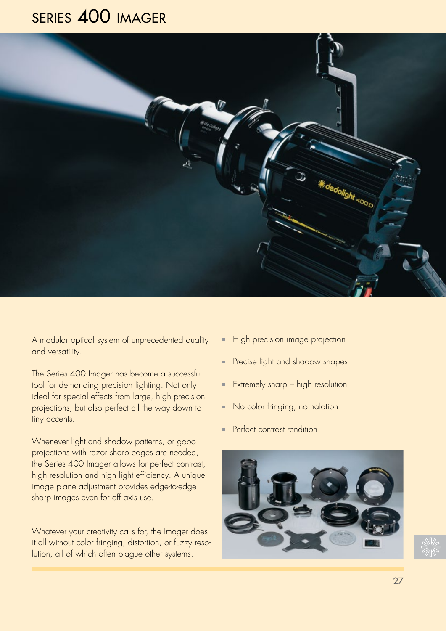# series 400 imager



A modular optical system of unprecedented quality and versatility.

The Series 400 Imager has become a successful tool for demanding precision lighting. Not only ideal for special effects from large, high precision projections, but also perfect all the way down to tiny accents.

Whenever light and shadow patterns, or gobo projections with razor sharp edges are needed, the Series 400 Imager allows for perfect contrast, high resolution and high light efficiency. A unique image plane adjustment provides edge-to-edge sharp images even for off axis use.

Whatever your creativity calls for, the Imager does it all without color fringing, distortion, or fuzzy resolution, all of which often plague other systems.

- High precision image projection
- **Precise light and shadow shapes**
- **Extremely sharp high resolution**
- No color fringing, no halation
- **Perfect contrast rendition**



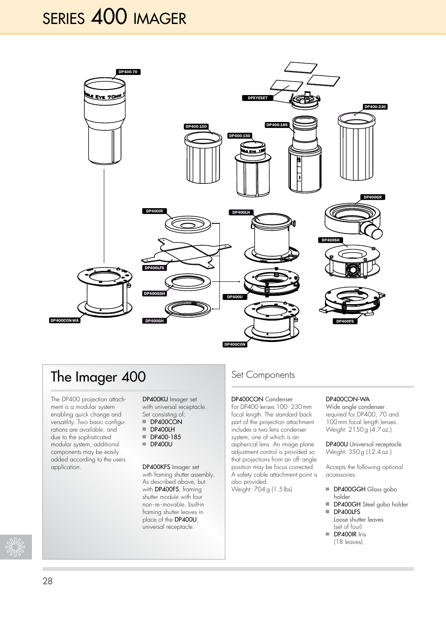# series 400 imager



## The Imager 400

The DP400 projection attachment is a modular system enabling quick change and versatility. Two basic configurations are available, and due to the sophisticated modular system, additional components may be easily added according to the users application.

DP400KU Imager set with universal receptacle. Set consisting of:

- $\blacksquare$  DP400CON
- DP400LH
- DP400-185 **DP400U**
- 

DP400KFS Imager set with framing shutter assembly. As described above, but with DP400FS, framing shutter module with four non - re - movable, built-in framing shutter leaves in place of the DP400U, universal receptacle.

## Set Components

#### DP400CON Condenser

For DP400 lenses 100 -230mm focal length. The standard back part of the projection attachment includes a two lens condenser system, one of which is an aspherical lens. An image plane adjustment control is provided so that projections from an off - angle position may be focus corrected. A safety cable attachment point is also provided.

Weight: 704g (1.5lbs)

#### DP400CON-WA

Wide angle condenser required for DP400, 70 and 100 mm focal length lenses. Weight: 2150g (4.7oz.)

DP400U Universal receptacle Weight: 350g (12.4oz.)

Accepts the following optional accessories:

- DP400GGH Glass gobo holder
- DP400GH Steel gobo holder DP400LFS
- Loose shutter leaves (set of four)
- DP400IR Iris (18 leaves)